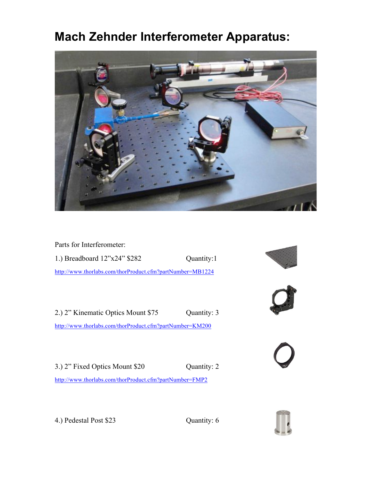# **Mach Zehnder Interferometer Apparatus:**



Parts for Interferometer:

1.) Breadboard 12"x24" \$282 Quantity:1 http://www.thorlabs.com/thorProduct.cfm?partNumber=MB1224

2.) 2" Kinematic Optics Mount \$75 Quantity: 3 http://www.thorlabs.com/thorProduct.cfm?partNumber=KM200

3.) 2" Fixed Optics Mount \$20 Quantity: 2 http://www.thorlabs.com/thorProduct.cfm?partNumber=FMP2









4.) Pedestal Post \$23 Quantity: 6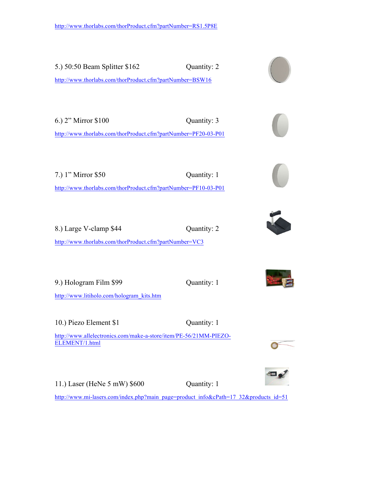5.) 50:50 Beam Splitter \$162 Quantity: 2 http://www.thorlabs.com/thorProduct.cfm?partNumber=BSW16 6.) 2" Mirror \$100 Quantity: 3 http://www.thorlabs.com/thorProduct.cfm?partNumber=PF20-03-P01 7.) 1" Mirror \$50 Quantity: 1 http://www.thorlabs.com/thorProduct.cfm?partNumber=PF10-03-P01 8.) Large V-clamp \$44 Quantity: 2 http://www.thorlabs.com/thorProduct.cfm?partNumber=VC3 9.) Hologram Film \$99 Quantity: 1 http://www.litiholo.com/hologram\_kits.htm 10.) Piezo Element \$1 Quantity: 1 http://www.allelectronics.com/make-a-store/item/PE-56/21MM-PIEZO-ELEMENT/1.html 11.) Laser (HeNe 5 mW) \$600 Quantity: 1

http://www.mi-lasers.com/index.php?main\_page=product\_info&cPath=17\_32&products\_id=51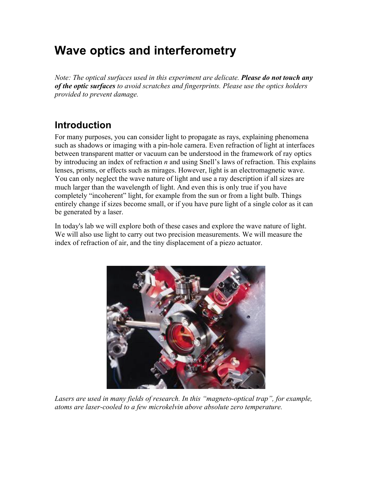# **Wave optics and interferometry**

*Note: The optical surfaces used in this experiment are delicate. Please do not touch any of the optic surfaces to avoid scratches and fingerprints. Please use the optics holders provided to prevent damage.*

## **Introduction**

For many purposes, you can consider light to propagate as rays, explaining phenomena such as shadows or imaging with a pin-hole camera. Even refraction of light at interfaces between transparent matter or vacuum can be understood in the framework of ray optics by introducing an index of refraction *n* and using Snell's laws of refraction. This explains lenses, prisms, or effects such as mirages. However, light is an electromagnetic wave. You can only neglect the wave nature of light and use a ray description if all sizes are much larger than the wavelength of light. And even this is only true if you have completely "incoherent" light, for example from the sun or from a light bulb. Things entirely change if sizes become small, or if you have pure light of a single color as it can be generated by a laser.

In today's lab we will explore both of these cases and explore the wave nature of light. We will also use light to carry out two precision measurements. We will measure the index of refraction of air, and the tiny displacement of a piezo actuator.



Lasers are used in many fields of research. In this "magneto-optical trap", for example, *atoms are laser-cooled to a few microkelvin above absolute zero temperature.*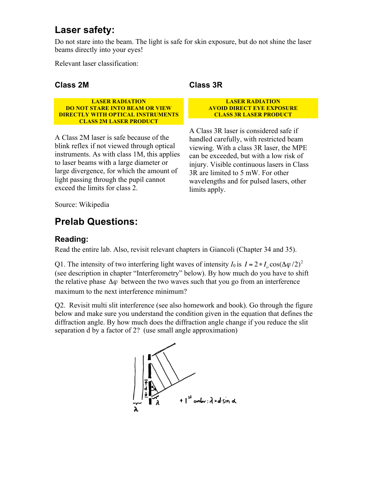### **Laser safety:**

Do not stare into the beam. The light is safe for skin exposure, but do not shine the laser beams directly into your eyes!

Relevant laser classification:

#### **Class 2M**

**LASER RADIATION DO NOT STARE INTO BEAM OR VIEW DIRECTLY WITH OPTICAL INSTRUMENTS CLASS 2M LASER PRODUCT**

A Class 2M laser is safe because of the blink reflex if not viewed through optical instruments. As with class 1M, this applies to laser beams with a large diameter or large divergence, for which the amount of light passing through the pupil cannot exceed the limits for class 2.

#### **Class 3R**

**LASER RADIATION AVOID DIRECT EYE EXPOSURE CLASS 3R LASER PRODUCT**

A Class 3R laser is considered safe if handled carefully, with restricted beam viewing. With a class 3R laser, the MPE can be exceeded, but with a low risk of injury. Visible continuous lasers in Class 3R are limited to 5 mW. For other wavelengths and for pulsed lasers, other limits apply.

Source: Wikipedia

## **Prelab Questions:**

#### **Reading:**

Read the entire lab. Also, revisit relevant chapters in Giancoli (Chapter 34 and 35).

Q1. The intensity of two interfering light waves of intensity  $I_0$  is  $I = 2 * I_0 \cos(\Delta \varphi/2)^2$ (see description in chapter "Interferometry" below). By how much do you have to shift the relative phase  $\Delta\varphi$  between the two waves such that you go from an interference maximum to the next interference minimum?

Q2. Revisit multi slit interference (see also homework and book). Go through the figure below and make sure you understand the condition given in the equation that defines the diffraction angle. By how much does the diffraction angle change if you reduce the slit separation d by a factor of 2? (use small angle approximation)

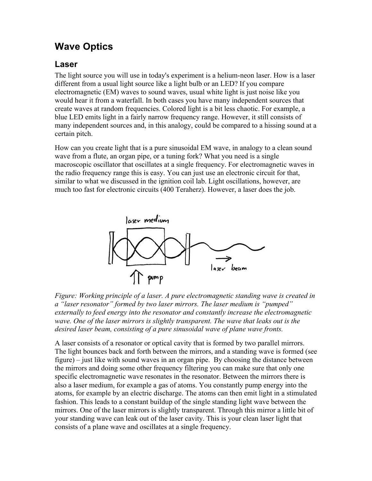### **Wave Optics**

#### **Laser**

The light source you will use in today's experiment is a helium-neon laser. How is a laser different from a usual light source like a light bulb or an LED? If you compare electromagnetic (EM) waves to sound waves, usual white light is just noise like you would hear it from a waterfall. In both cases you have many independent sources that create waves at random frequencies. Colored light is a bit less chaotic. For example, a blue LED emits light in a fairly narrow frequency range. However, it still consists of many independent sources and, in this analogy, could be compared to a hissing sound at a certain pitch.

How can you create light that is a pure sinusoidal EM wave, in analogy to a clean sound wave from a flute, an organ pipe, or a tuning fork? What you need is a single macroscopic oscillator that oscillates at a single frequency. For electromagnetic waves in the radio frequency range this is easy. You can just use an electronic circuit for that, similar to what we discussed in the ignition coil lab. Light oscillations, however, are much too fast for electronic circuits (400 Teraherz). However, a laser does the job.



*Figure: Working principle of a laser. A pure electromagnetic standing wave is created in a "laser resonator" formed by two laser mirrors. The laser medium is "pumped" externally to feed energy into the resonator and constantly increase the electromagnetic wave. One of the laser mirrors is slightly transparent. The wave that leaks out is the desired laser beam, consisting of a pure sinusoidal wave of plane wave fronts.* 

A laser consists of a resonator or optical cavity that is formed by two parallel mirrors. The light bounces back and forth between the mirrors, and a standing wave is formed (see figure) – just like with sound waves in an organ pipe. By choosing the distance between the mirrors and doing some other frequency filtering you can make sure that only one specific electromagnetic wave resonates in the resonator. Between the mirrors there is also a laser medium, for example a gas of atoms. You constantly pump energy into the atoms, for example by an electric discharge. The atoms can then emit light in a stimulated fashion. This leads to a constant buildup of the single standing light wave between the mirrors. One of the laser mirrors is slightly transparent. Through this mirror a little bit of your standing wave can leak out of the laser cavity. This is your clean laser light that consists of a plane wave and oscillates at a single frequency.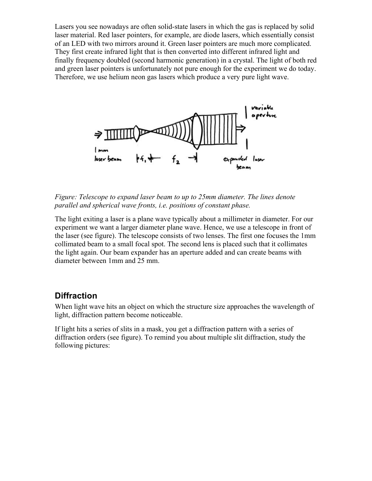Lasers you see nowadays are often solid-state lasers in which the gas is replaced by solid laser material. Red laser pointers, for example, are diode lasers, which essentially consist of an LED with two mirrors around it. Green laser pointers are much more complicated. They first create infrared light that is then converted into different infrared light and finally frequency doubled (second harmonic generation) in a crystal. The light of both red and green laser pointers is unfortunately not pure enough for the experiment we do today. Therefore, we use helium neon gas lasers which produce a very pure light wave.



*Figure: Telescope to expand laser beam to up to 25mm diameter. The lines denote parallel and spherical wave fronts, i.e. positions of constant phase.*

The light exiting a laser is a plane wave typically about a millimeter in diameter. For our experiment we want a larger diameter plane wave. Hence, we use a telescope in front of the laser (see figure). The telescope consists of two lenses. The first one focuses the 1mm collimated beam to a small focal spot. The second lens is placed such that it collimates the light again. Our beam expander has an aperture added and can create beams with diameter between 1mm and 25 mm.

#### **Diffraction**

When light wave hits an object on which the structure size approaches the wavelength of light, diffraction pattern become noticeable.

If light hits a series of slits in a mask, you get a diffraction pattern with a series of diffraction orders (see figure). To remind you about multiple slit diffraction, study the following pictures: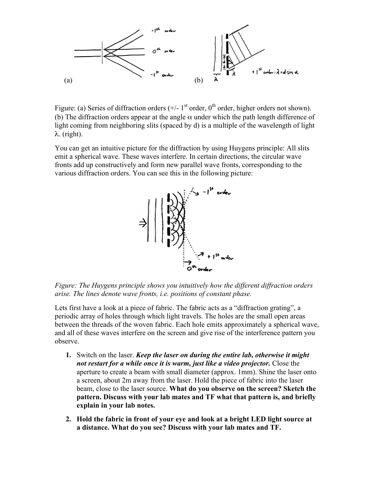

Figure: (a) Series of diffraction orders  $(+/- 1<sup>st</sup>$  order, 0<sup>th</sup> order, higher orders not shown). (b) The diffraction orders appear at the angle  $\alpha$  under which the path length difference of light coming from neighboring slits (spaced by d) is a multiple of the wavelength of light λ. (right).

You can get an intuitive picture for the diffraction by using Huygens principle: All slits emit a spherical wave. These waves interfere. In certain directions, the circular wave fronts add up constructively and form new parallel wave fronts, corresponding to the various diffraction orders. You can see this in the following picture:



*Figure: The Huygens principle shows you intuitively how the different diffraction orders arise. The lines denote wave fronts, i.e. positions of constant phase.*

Lets first have a look at a piece of fabric. The fabric acts as a "diffraction grating", a periodic array of holes through which light travels. The holes are the small open areas between the threads of the woven fabric. Each hole emits approximately a spherical wave, and all of these waves interfere on the screen and give rise of the interference pattern you observe.

- **1.** Switch on the laser. *Keep the laser on during the entire lab, otherwise it might not restart for a while once it is warm, just like a video projector.* Close the aperture to create a beam with small diameter (approx. 1mm). Shine the laser onto a screen, about 2m away from the laser. Hold the piece of fabric into the laser beam, close to the laser source. **What do you observe on the screen? Sketch the pattern. Discuss with your lab mates and TF what that pattern is, and briefly explain in your lab notes.**
- **2. Hold the fabric in front of your eye and look at a bright LED light source at a distance. What do you see? Discuss with your lab mates and TF.**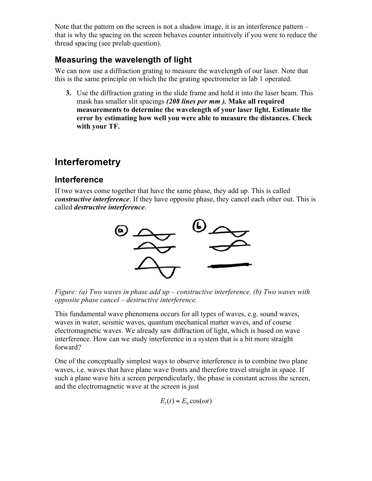Note that the pattern on the screen is not a shadow image, it is an interference pattern – that is why the spacing on the screen behaves counter intuitively if you were to reduce the thread spacing (see prelab question).

### **Measuring the wavelength of light**

We can now use a diffraction grating to measure the wavelength of our laser. Note that this is the same principle on which the the grating spectrometer in lab 1 operated.

**3.** Use the diffraction grating in the slide frame and hold it into the laser beam. This mask has smaller slit spacings *(208 lines per mm ).* **Make all required measurements to determine the wavelength of your laser light. Estimate the error by estimating how well you were able to measure the distances. Check with your TF.**

## **Interferometry**

### **Interference**

If two waves come together that have the same phase, they add up. This is called *constructive interference*. If they have opposite phase, they cancel each other out. This is called *destructive interference*.



*Figure: (a) Two waves in phase add up – constructive interference. (b) Two waves with opposite phase cancel – destructive interference.*

This fundamental wave phenomena occurs for all types of waves, e.g. sound waves, waves in water, seismic waves, quantum mechanical matter waves, and of course electromagnetic waves. We already saw diffraction of light, which is based on wave interference. How can we study interference in a system that is a bit more straight forward?

One of the conceptually simplest ways to observe interference is to combine two plane waves, i.e. waves that have plane wave fronts and therefore travel straight in space. If such a plane wave hits a screen perpendicularly, the phase is constant across the screen, and the electromagnetic wave at the screen is just

$$
E_1(t) = E_0 \cos(\omega t)
$$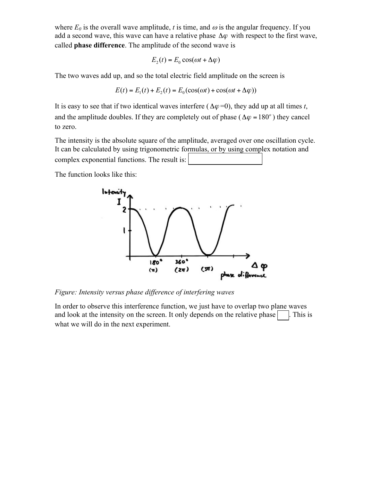where  $E_0$  is the overall wave amplitude, *t* is time, and  $\omega$  is the angular frequency. If you add a second wave, this wave can have a relative phase  $\Delta \varphi$  with respect to the first wave, called **phase difference**. The amplitude of the second wave is

$$
E_2(t) = E_0 \cos(\omega t + \Delta \varphi)
$$

The two waves add up, and so the total electric field amplitude on the screen is

$$
E(t) = E_1(t) + E_2(t) = E_0(\cos(\omega t) + \cos(\omega t + \Delta \varphi))
$$

It is easy to see that if two identical waves interfere ( $\Delta \varphi = 0$ ), they add up at all times *t*, and the amplitude doubles. If they are completely out of phase ( $\Delta \varphi = 180^\circ$ ) they cancel to zero.

The intensity is the absolute square of the amplitude, averaged over one oscillation cycle. It can be calculated by using trigonometric formulas, or by using complex notation and complex exponential functions. The result is:

The function looks like this:



*Figure: Intensity versus phase difference of interfering waves*

In order to observe this interference function, we just have to overlap two plane waves and look at the intensity on the screen. It only depends on the relative phase  $\Box$ . This is what we will do in the next experiment.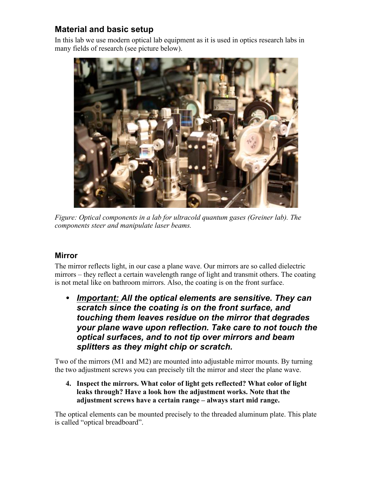### **Material and basic setup**

In this lab we use modern optical lab equipment as it is used in optics research labs in many fields of research (see picture below).



*Figure: Optical components in a lab for ultracold quantum gases (Greiner lab). The components steer and manipulate laser beams.*

#### **Mirror**

The mirror reflects light, in our case a plane wave. Our mirrors are so called dielectric mirrors – they reflect a certain wavelength range of light and transmit others. The coating is not metal like on bathroom mirrors. Also, the coating is on the front surface.

• *Important: All the optical elements are sensitive. They can scratch since the coating is on the front surface, and touching them leaves residue on the mirror that degrades your plane wave upon reflection. Take care to not touch the optical surfaces, and to not tip over mirrors and beam splitters as they might chip or scratch.* 

Two of the mirrors (M1 and M2) are mounted into adjustable mirror mounts. By turning the two adjustment screws you can precisely tilt the mirror and steer the plane wave.

**4. Inspect the mirrors. What color of light gets reflected? What color of light leaks through? Have a look how the adjustment works. Note that the adjustment screws have a certain range – always start mid range.** 

The optical elements can be mounted precisely to the threaded aluminum plate. This plate is called "optical breadboard".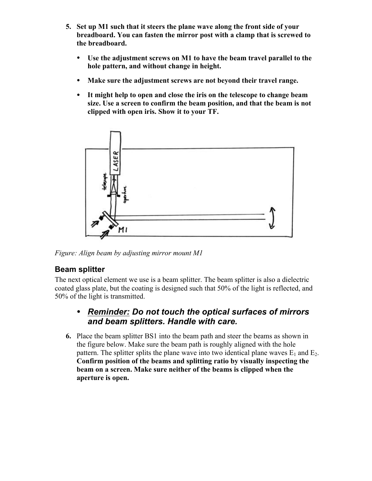- **5. Set up M1 such that it steers the plane wave along the front side of your breadboard. You can fasten the mirror post with a clamp that is screwed to the breadboard.** 
	- **Use the adjustment screws on M1 to have the beam travel parallel to the hole pattern, and without change in height.**
	- **Make sure the adjustment screws are not beyond their travel range.**
	- **It might help to open and close the iris on the telescope to change beam size. Use a screen to confirm the beam position, and that the beam is not clipped with open iris. Show it to your TF.**



*Figure: Align beam by adjusting mirror mount M1*

#### **Beam splitter**

The next optical element we use is a beam splitter. The beam splitter is also a dielectric coated glass plate, but the coating is designed such that 50% of the light is reflected, and 50% of the light is transmitted.

#### • *Reminder: Do not touch the optical surfaces of mirrors and beam splitters. Handle with care.*

**6.** Place the beam splitter BS1 into the beam path and steer the beams as shown in the figure below. Make sure the beam path is roughly aligned with the hole pattern. The splitter splits the plane wave into two identical plane waves  $E_1$  and  $E_2$ . **Confirm position of the beams and splitting ratio by visually inspecting the beam on a screen. Make sure neither of the beams is clipped when the aperture is open.**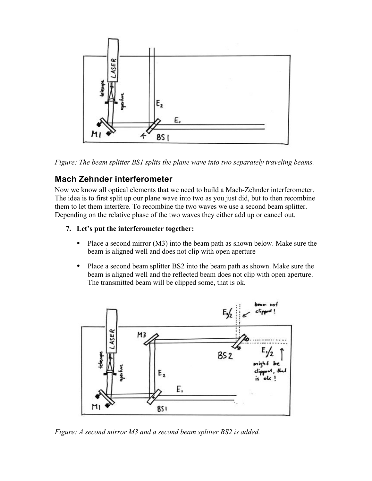

*Figure: The beam splitter BS1 splits the plane wave into two separately traveling beams.*

#### **Mach Zehnder interferometer**

Now we know all optical elements that we need to build a Mach-Zehnder interferometer. The idea is to first split up our plane wave into two as you just did, but to then recombine them to let them interfere. To recombine the two waves we use a second beam splitter. Depending on the relative phase of the two waves they either add up or cancel out.

#### **7. Let's put the interferometer together:**

- Place a second mirror (M3) into the beam path as shown below. Make sure the beam is aligned well and does not clip with open aperture
- Place a second beam splitter BS2 into the beam path as shown. Make sure the beam is aligned well and the reflected beam does not clip with open aperture. The transmitted beam will be clipped some, that is ok.



*Figure: A second mirror M3 and a second beam splitter BS2 is added.*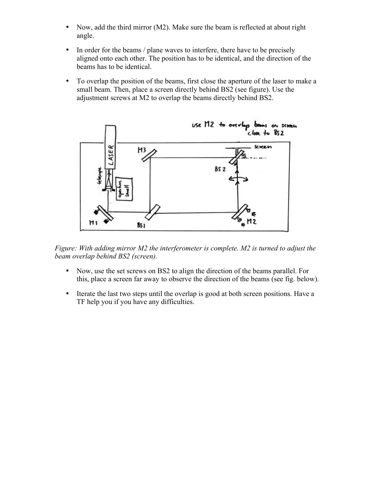- Now, add the third mirror (M2). Make sure the beam is reflected at about right angle.
- In order for the beams / plane waves to interfere, there have to be precisely aligned onto each other. The position has to be identical, and the direction of the beams has to be identical.
- To overlap the position of the beams, first close the aperture of the laser to make a small beam. Then, place a screen directly behind BS2 (see figure). Use the adjustment screws at M2 to overlap the beams directly behind BS2.



*Figure: With adding mirror M2 the interferometer is complete. M2 is turned to adjust the beam overlap behind BS2 (screen).*

- Now, use the set screws on BS2 to align the direction of the beams parallel. For this, place a screen far away to observe the direction of the beams (see fig. below).
- Iterate the last two steps until the overlap is good at both screen positions. Have a TF help you if you have any difficulties.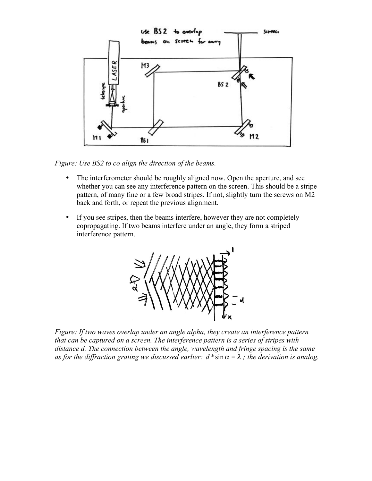

*Figure: Use BS2 to co align the direction of the beams.*

- The interferometer should be roughly aligned now. Open the aperture, and see whether you can see any interference pattern on the screen. This should be a stripe pattern, of many fine or a few broad stripes. If not, slightly turn the screws on M2 back and forth, or repeat the previous alignment.
- If you see stripes, then the beams interfere, however they are not completely copropagating. If two beams interfere under an angle, they form a striped interference pattern.



*Figure: If two waves overlap under an angle alpha, they create an interference pattern that can be captured on a screen. The interference pattern is a series of stripes with distance d. The connection between the angle, wavelength and fringe spacing is the same as for the diffraction grating we discussed earlier:*  $d * sin \alpha = \lambda$ *; the derivation is analog.*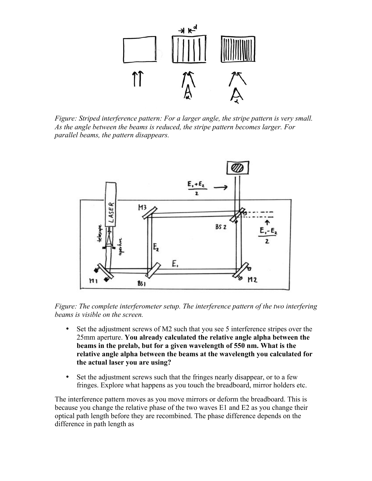

*Figure: Striped interference pattern: For a larger angle, the stripe pattern is very small. As the angle between the beams is reduced, the stripe pattern becomes larger. For parallel beams, the pattern disappears.*



*Figure: The complete interferometer setup. The interference pattern of the two interfering beams is visible on the screen.*

- Set the adjustment screws of M2 such that you see 5 interference stripes over the 25mm aperture. **You already calculated the relative angle alpha between the beams in the prelab, but for a given wavelength of 550 nm. What is the relative angle alpha between the beams at the wavelength you calculated for the actual laser you are using?**
- Set the adjustment screws such that the fringes nearly disappear, or to a few fringes. Explore what happens as you touch the breadboard, mirror holders etc.

The interference pattern moves as you move mirrors or deform the breadboard. This is because you change the relative phase of the two waves E1 and E2 as you change their optical path length before they are recombined. The phase difference depends on the difference in path length as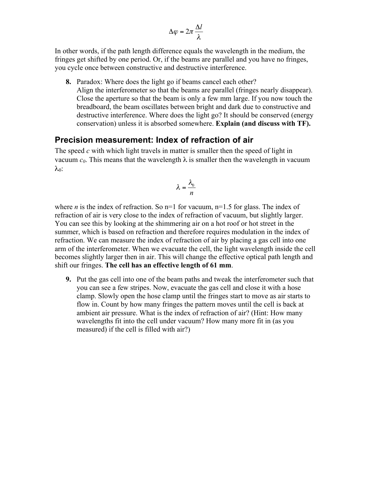$$
\Delta \varphi = 2\pi \frac{\Delta l}{\lambda}
$$

In other words, if the path length difference equals the wavelength in the medium, the fringes get shifted by one period. Or, if the beams are parallel and you have no fringes, you cycle once between constructive and destructive interference.

**8.** Paradox: Where does the light go if beams cancel each other? Align the interferometer so that the beams are parallel (fringes nearly disappear). Close the aperture so that the beam is only a few mm large. If you now touch the breadboard, the beam oscillates between bright and dark due to constructive and destructive interference. Where does the light go? It should be conserved (energy conservation) unless it is absorbed somewhere. **Explain (and discuss with TF).**

#### **Precision measurement: Index of refraction of air**

The speed *c* with which light travels in matter is smaller then the speed of light in vacuum  $c_0$ . This means that the wavelength  $\lambda$  is smaller then the wavelength in vacuum  $λ_0$ :

$$
\lambda = \frac{\lambda_0}{n}
$$

where *n* is the index of refraction. So  $n=1$  for vacuum,  $n=1.5$  for glass. The index of refraction of air is very close to the index of refraction of vacuum, but slightly larger. You can see this by looking at the shimmering air on a hot roof or hot street in the summer, which is based on refraction and therefore requires modulation in the index of refraction. We can measure the index of refraction of air by placing a gas cell into one arm of the interferometer. When we evacuate the cell, the light wavelength inside the cell becomes slightly larger then in air. This will change the effective optical path length and shift our fringes. **The cell has an effective length of 61 mm**.

**9.** Put the gas cell into one of the beam paths and tweak the interferometer such that you can see a few stripes. Now, evacuate the gas cell and close it with a hose clamp. Slowly open the hose clamp until the fringes start to move as air starts to flow in. Count by how many fringes the pattern moves until the cell is back at ambient air pressure. What is the index of refraction of air? (Hint: How many wavelengths fit into the cell under vacuum? How many more fit in (as you measured) if the cell is filled with air?)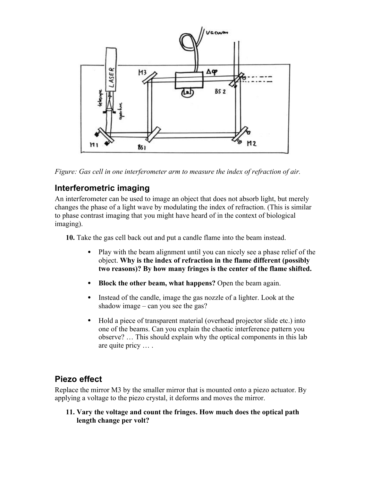

*Figure: Gas cell in one interferometer arm to measure the index of refraction of air.*

### **Interferometric imaging**

An interferometer can be used to image an object that does not absorb light, but merely changes the phase of a light wave by modulating the index of refraction. (This is similar to phase contrast imaging that you might have heard of in the context of biological imaging).

**10.** Take the gas cell back out and put a candle flame into the beam instead.

- Play with the beam alignment until you can nicely see a phase relief of the object. **Why is the index of refraction in the flame different (possibly two reasons)? By how many fringes is the center of the flame shifted.**
- **Block the other beam, what happens?** Open the beam again.
- Instead of the candle, image the gas nozzle of a lighter. Look at the shadow image – can you see the gas?
- Hold a piece of transparent material (overhead projector slide etc.) into one of the beams. Can you explain the chaotic interference pattern you observe? … This should explain why the optical components in this lab are quite pricy … .

#### **Piezo effect**

Replace the mirror M3 by the smaller mirror that is mounted onto a piezo actuator. By applying a voltage to the piezo crystal, it deforms and moves the mirror.

**11. Vary the voltage and count the fringes. How much does the optical path length change per volt?**